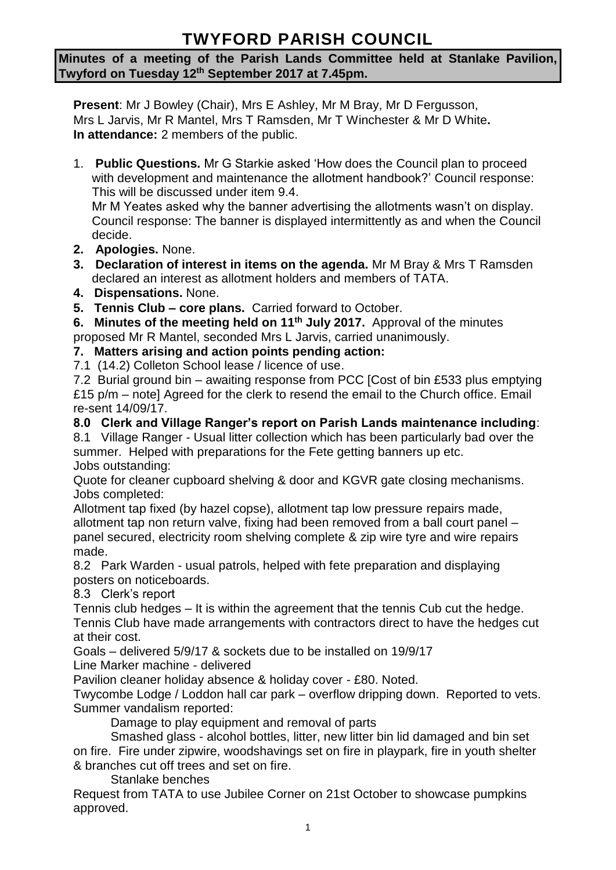# **TWYFORD PARISH COUNCIL**

## **Minutes of a meeting of the Parish Lands Committee held at Stanlake Pavilion, Twyford on Tuesday 12th September 2017 at 7.45pm.**

**Present**: Mr J Bowley (Chair), Mrs E Ashley, Mr M Bray, Mr D Fergusson, Mrs L Jarvis, Mr R Mantel, Mrs T Ramsden, Mr T Winchester & Mr D White**. In attendance:** 2 members of the public.

1. **Public Questions.** Mr G Starkie asked 'How does the Council plan to proceed with development and maintenance the allotment handbook?' Council response: This will be discussed under item 9.4.

Mr M Yeates asked why the banner advertising the allotments wasn't on display. Council response: The banner is displayed intermittently as and when the Council decide.

- **2. Apologies.** None.
- **3. Declaration of interest in items on the agenda.** Mr M Bray & Mrs T Ramsden declared an interest as allotment holders and members of TATA.
- **4. Dispensations.** None.
- **5. Tennis Club – core plans.** Carried forward to October.

**6. Minutes of the meeting held on 11th July 2017.** Approval of the minutes proposed Mr R Mantel, seconded Mrs L Jarvis, carried unanimously.

## **7. Matters arising and action points pending action:**

7.1 (14.2) Colleton School lease / licence of use.

7.2 Burial ground bin – awaiting response from PCC [Cost of bin £533 plus emptying £15 p/m – note] Agreed for the clerk to resend the email to the Church office. Email re-sent 14/09/17.

## **8.0 Clerk and Village Ranger's report on Parish Lands maintenance including**:

8.1 Village Ranger - Usual litter collection which has been particularly bad over the summer. Helped with preparations for the Fete getting banners up etc. Jobs outstanding:

Quote for cleaner cupboard shelving & door and KGVR gate closing mechanisms. Jobs completed:

Allotment tap fixed (by hazel copse), allotment tap low pressure repairs made, allotment tap non return valve, fixing had been removed from a ball court panel – panel secured, electricity room shelving complete & zip wire tyre and wire repairs made.

8.2 Park Warden - usual patrols, helped with fete preparation and displaying posters on noticeboards.

8.3 Clerk's report

Tennis club hedges – It is within the agreement that the tennis Cub cut the hedge. Tennis Club have made arrangements with contractors direct to have the hedges cut at their cost.

Goals – delivered 5/9/17 & sockets due to be installed on 19/9/17

Line Marker machine - delivered

Pavilion cleaner holiday absence & holiday cover - £80. Noted.

Twycombe Lodge / Loddon hall car park – overflow dripping down. Reported to vets. Summer vandalism reported:

Damage to play equipment and removal of parts

Smashed glass - alcohol bottles, litter, new litter bin lid damaged and bin set on fire. Fire under zipwire, woodshavings set on fire in playpark, fire in youth shelter & branches cut off trees and set on fire.

Stanlake benches

Request from TATA to use Jubilee Corner on 21st October to showcase pumpkins approved.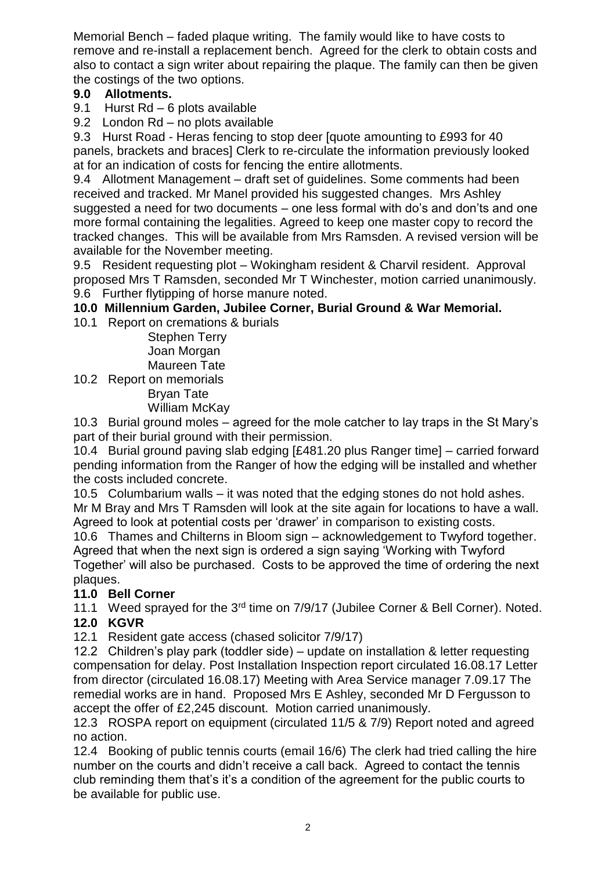Memorial Bench – faded plaque writing. The family would like to have costs to remove and re-install a replacement bench. Agreed for the clerk to obtain costs and also to contact a sign writer about repairing the plaque. The family can then be given the costings of the two options.

## **9.0 Allotments.**

9.1 Hurst Rd – 6 plots available

9.2 London Rd – no plots available

9.3 Hurst Road - Heras fencing to stop deer [quote amounting to £993 for 40 panels, brackets and braces] Clerk to re-circulate the information previously looked at for an indication of costs for fencing the entire allotments.

9.4 Allotment Management – draft set of guidelines. Some comments had been received and tracked. Mr Manel provided his suggested changes. Mrs Ashley suggested a need for two documents – one less formal with do's and don'ts and one more formal containing the legalities. Agreed to keep one master copy to record the tracked changes. This will be available from Mrs Ramsden. A revised version will be available for the November meeting.

9.5 Resident requesting plot – Wokingham resident & Charvil resident. Approval proposed Mrs T Ramsden, seconded Mr T Winchester, motion carried unanimously. 9.6 Further flytipping of horse manure noted.

# **10.0 Millennium Garden, Jubilee Corner, Burial Ground & War Memorial.**

10.1 Report on cremations & burials

Stephen Terry Joan Morgan Maureen Tate

10.2 Report on memorials

Bryan Tate

William McKay

10.3 Burial ground moles – agreed for the mole catcher to lay traps in the St Mary's part of their burial ground with their permission.

10.4 Burial ground paving slab edging [£481.20 plus Ranger time] – carried forward pending information from the Ranger of how the edging will be installed and whether the costs included concrete.

10.5 Columbarium walls – it was noted that the edging stones do not hold ashes. Mr M Bray and Mrs T Ramsden will look at the site again for locations to have a wall. Agreed to look at potential costs per 'drawer' in comparison to existing costs.

10.6 Thames and Chilterns in Bloom sign – acknowledgement to Twyford together. Agreed that when the next sign is ordered a sign saying 'Working with Twyford Together' will also be purchased. Costs to be approved the time of ordering the next plaques.

# **11.0 Bell Corner**

11.1 Weed sprayed for the 3<sup>rd</sup> time on 7/9/17 (Jubilee Corner & Bell Corner). Noted.

## **12.0 KGVR**

12.1 Resident gate access (chased solicitor 7/9/17)

12.2 Children's play park (toddler side) – update on installation & letter requesting compensation for delay. Post Installation Inspection report circulated 16.08.17 Letter from director (circulated 16.08.17) Meeting with Area Service manager 7.09.17 The remedial works are in hand. Proposed Mrs E Ashley, seconded Mr D Fergusson to accept the offer of £2,245 discount. Motion carried unanimously.

12.3 ROSPA report on equipment (circulated 11/5 & 7/9) Report noted and agreed no action.

12.4 Booking of public tennis courts (email 16/6) The clerk had tried calling the hire number on the courts and didn't receive a call back. Agreed to contact the tennis club reminding them that's it's a condition of the agreement for the public courts to be available for public use.